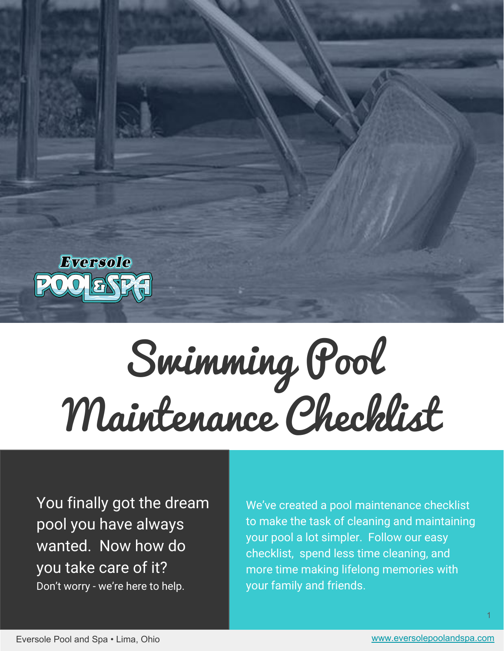

# Swimming Pool Maintenance Checklist

You finally got the dream pool you have always wanted. Now how do you take care of it? Don't worry - we're here to help.

We've created a pool maintenance checklist to make the task of cleaning and maintaining your pool a lot simpler. Follow our easy checklist, spend less time cleaning, and more time making lifelong memories with your family and friends.

1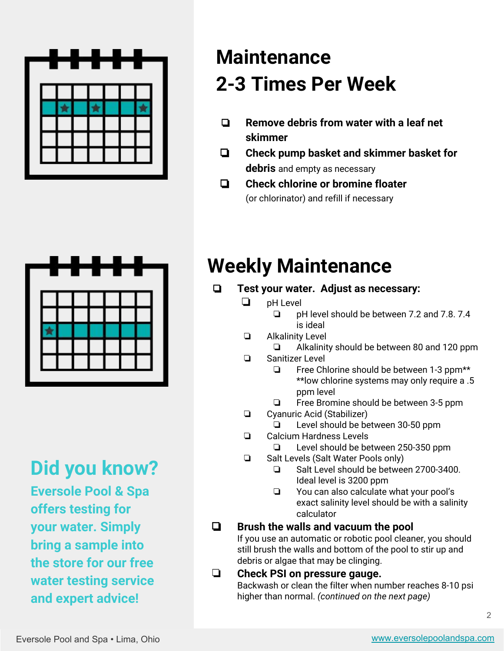

## **Maintenance 2-3 Times Per Week**

- ❏ **Remove debris from water with a leaf net skimmer**
- ❏ **Check pump basket and skimmer basket for debris** and empty as necessary
- ❏ **Check chlorine or bromine floater** (or chlorinator) and refill if necessary



**Did you know? Eversole Pool & Spa offers testing for your water. Simply bring a sample into the store for our free water testing service and expert advice!**

## **Weekly Maintenance**

- ❏ **Test your water. Adjust as necessary:**
	- ❏ pH Level
		- ❏ pH level should be between 7.2 and 7.8. 7.4 is ideal
	- ❏ Alkalinity Level
		- ❏ Alkalinity should be between 80 and 120 ppm
	- ❏ Sanitizer Level
		- ❏ Free Chlorine should be between 1-3 ppm\*\* \*\*low chlorine systems may only require a .5 ppm level
		- ❏ Free Bromine should be between 3-5 ppm
	- ❏ Cyanuric Acid (Stabilizer)
		- ❏ Level should be between 30-50 ppm
	- ❏ Calcium Hardness Levels
		- ❏ Level should be between 250-350 ppm
	- ❏ Salt Levels (Salt Water Pools only)
		- ❏ Salt Level should be between 2700-3400. Ideal level is 3200 ppm
		- ❏ You can also calculate what your pool's exact salinity level should be with a salinity calculator

❏ **Brush the walls and vacuum the pool** If you use an automatic or robotic pool cleaner, you should still brush the walls and bottom of the pool to stir up and debris or algae that may be clinging.

#### ❏ **Check PSI on pressure gauge.**  Backwash or clean the filter when number reaches 8-10 psi higher than normal. *(continued on the next page)*